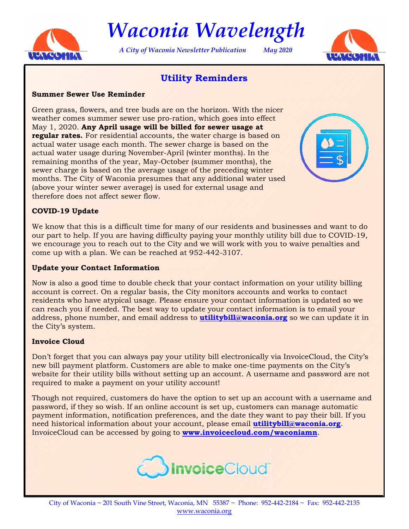

*Waconia Wavelength* 

*A City of Waconia Newsletter Publication May 2020* 



# **Utility Reminders**

#### **Summer Sewer Use Reminder**

Green grass, flowers, and tree buds are on the horizon. With the nicer weather comes summer sewer use pro-ration, which goes into effect May 1, 2020. **Any April usage will be billed for sewer usage at regular rates.** For residential accounts, the water charge is based on actual water usage each month. The sewer charge is based on the actual water usage during November-April (winter months). In the remaining months of the year, May-October (summer months), the sewer charge is based on the average usage of the preceding winter months. The City of Waconia presumes that any additional water used (above your winter sewer average) is used for external usage and therefore does not affect sewer flow.



#### **COVID-19 Update**

We know that this is a difficult time for many of our residents and businesses and want to do our part to help. If you are having difficulty paying your monthly utility bill due to COVID-19, we encourage you to reach out to the City and we will work with you to waive penalties and come up with a plan. We can be reached at 952-442-3107.

#### **Update your Contact Information**

Now is also a good time to double check that your contact information on your utility billing account is correct. On a regular basis, the City monitors accounts and works to contact residents who have atypical usage. Please ensure your contact information is updated so we can reach you if needed. The best way to update your contact information is to email your address, phone number, and email address to **utilitybill@waconia.org** so we can update it in the City's system.

#### **Invoice Cloud**

Don't forget that you can always pay your utility bill electronically via InvoiceCloud, the City's new bill payment platform. Customers are able to make one-time payments on the City's website for their utility bills without setting up an account. A username and password are not required to make a payment on your utility account!

Though not required, customers do have the option to set up an account with a username and password, if they so wish. If an online account is set up, customers can manage automatic payment information, notification preferences, and the date they want to pay their bill. If you need historical information about your account, please email **utilitybill@waconia.org**. InvoiceCloud can be accessed by going to **www.invoicecloud.com/waconiamn**.